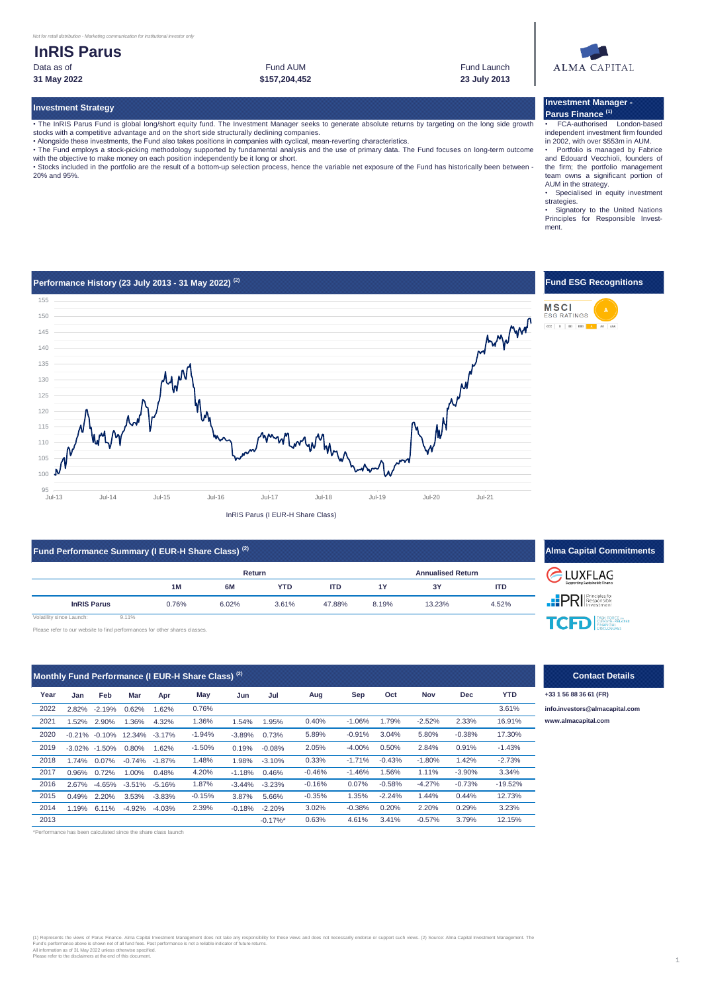# **InRIS Parus** Data as of **Fund Launch** Communication of the Fund Launch Fund Launch Fund Launch Fund Launch

Fund AUM

**31 May 2022 23 July 2013 \$157,204,452**



## **Investment Strategy**

• The InRIS Parus Fund is global long/short equity fund. The Investment Manager seeks to generate absolute returns by targeting on the long side growth stocks with a competitive advantage and on the short side structurally declining companies.

• Alongside these investments, the Fund also takes positions in companies with cyclical, mean-reverting characteristics.<br>• The Fund employs a stock-picking methodology supported by fundamental analysis and the use of prima with the objective to make money on each position independently be it long or short.

• Stocks included in the portfolio are the result of a bottom-up selection process, hence the variable net exposure of the Fund has historically been between - 20% and 95%.

### **Investment Manager - Parus Finance (1)**

• FCA-authorised London-based independent investment firm founded

in 2002, with over \$553m in AUM. • Portfolio is managed by Fabrice and Edouard Vecchioli, founders of the firm; the portfolio management team owns a significant portion of AUM in the strategy. • Specialised in equity investment

strategies.

• Signatory to the United Nations Principles for Responsible Investment.



| Fund Performance Summary (I EUR-H Share Class) <sup>(2)</sup> |       |       |        |            |            |       |                          |            | <b>Alma Capital Commitments</b> |
|---------------------------------------------------------------|-------|-------|--------|------------|------------|-------|--------------------------|------------|---------------------------------|
|                                                               |       |       | Return |            |            |       | <b>Annualised Return</b> | LUXFLAG    |                                 |
|                                                               |       | 1M    | 6M     | <b>YTD</b> | <b>ITD</b> | 1Y    | 3Y                       | <b>ITD</b> | Supporting Sustainable Finance  |
| <b>InRIS Parus</b>                                            |       | 0.76% | 6.02%  | 3.61%      | 47.88%     | 8.19% | 13.23%                   | 4.52%      | <b>PRI</b> Responsible          |
| Volatility since Launch:                                      | 9.11% |       |        |            |            |       |                          |            |                                 |

Please refer to our website to find performances for other shares classes.

| Monthly Fund Performance (I EUR-H Share Class) <sup>(2)</sup> |          |                   |               |           |          |          |                        |          |          |          |          |            |            |
|---------------------------------------------------------------|----------|-------------------|---------------|-----------|----------|----------|------------------------|----------|----------|----------|----------|------------|------------|
| Year                                                          | Jan      | Feb               | Mar           | Apr       | May      | Jun      | Jul                    | Aug      | Sep      | Oct      | Nov      | <b>Dec</b> | <b>YTD</b> |
| 2022                                                          | 2.82%    | $-2.19%$          | 0.62%         | 1.62%     | 0.76%    |          |                        |          |          |          |          |            | 3.61%      |
| 2021                                                          | 1.52%    | 2.90%             | 1.36%         | 4.32%     | 1.36%    | 1.54%    | 1.95%                  | 0.40%    | $-1.06%$ | 1.79%    | $-2.52%$ | 2.33%      | 16.91%     |
| 2020                                                          |          | $-0.21\% -0.10\%$ | 12.34% -3.17% |           | $-1.94%$ | $-3.89%$ | 0.73%                  | 5.89%    | $-0.91%$ | 3.04%    | 5.80%    | $-0.38%$   | 17.30%     |
| 2019                                                          |          | $-3.02\% -1.50\%$ | 0.80%         | 1.62%     | $-1.50%$ | 0.19%    | $-0.08%$               | 2.05%    | $-4.00%$ | 0.50%    | 2.84%    | 0.91%      | $-1.43%$   |
| 2018                                                          | 1.74%    | $0.07\%$          | $-0.74%$      | $-1.87%$  | 1.48%    | 1.98%    | $-3.10%$               | 0.33%    | $-1.71%$ | $-0.43%$ | $-1.80%$ | 1.42%      | $-2.73%$   |
| 2017                                                          | $0.96\%$ | 0.72%             | 1.00%         | 0.48%     | 4.20%    | $-1.18%$ | 0.46%                  | $-0.46%$ | $-1.46%$ | 1.56%    | 1.11%    | $-3.90%$   | 3.34%      |
| 2016                                                          | 2.67%    | $-4.65%$          | $-3.51\%$     | $-5.16%$  | 1.87%    | $-3.44%$ | $-3.23%$               | $-0.16%$ | 0.07%    | $-0.58%$ | $-4.27%$ | $-0.73%$   | $-19.52%$  |
| 2015                                                          | 0.49%    | 2.20%             | 3.53%         | $-3.83\%$ | $-0.15%$ | 3.87%    | 5.66%                  | $-0.35%$ | 1.35%    | $-2.24%$ | 1.44%    | 0.44%      | 12.73%     |
| 2014                                                          | 1.19%    | 6.11%             | $-4.92%$      | $-4.03%$  | 2.39%    | $-0.18%$ | $-2.20%$               | 3.02%    | $-0.38%$ | 0.20%    | 2.20%    | 0.29%      | 3.23%      |
| 2013                                                          |          |                   |               |           |          |          | $-0.17\%$ <sup>*</sup> | 0.63%    | 4.61%    | 3.41%    | $-0.57%$ | 3.79%      | 12.15%     |

\*Performance has been calculated since the share class launch

(1) Represents the views of Parus Finance. Alma Capital Investment Management does not take any responsibility for these views and does not necessarily endorse or support such views. (2) Source: Alma Capital Investment Man

### **Contact Details**

**YTD +33 1 56 88 36 61 (FR)**

**TCFD** 

2021 1.36% 0.40% -1.06% 1.79% -2.52% 2.33% 16.91% **[www.](http://www.almacapital.com/)almacapital.com** 2022 0.76% **[info.in](mailto:info.investors@almacapital.com)vestors@almacapital.com**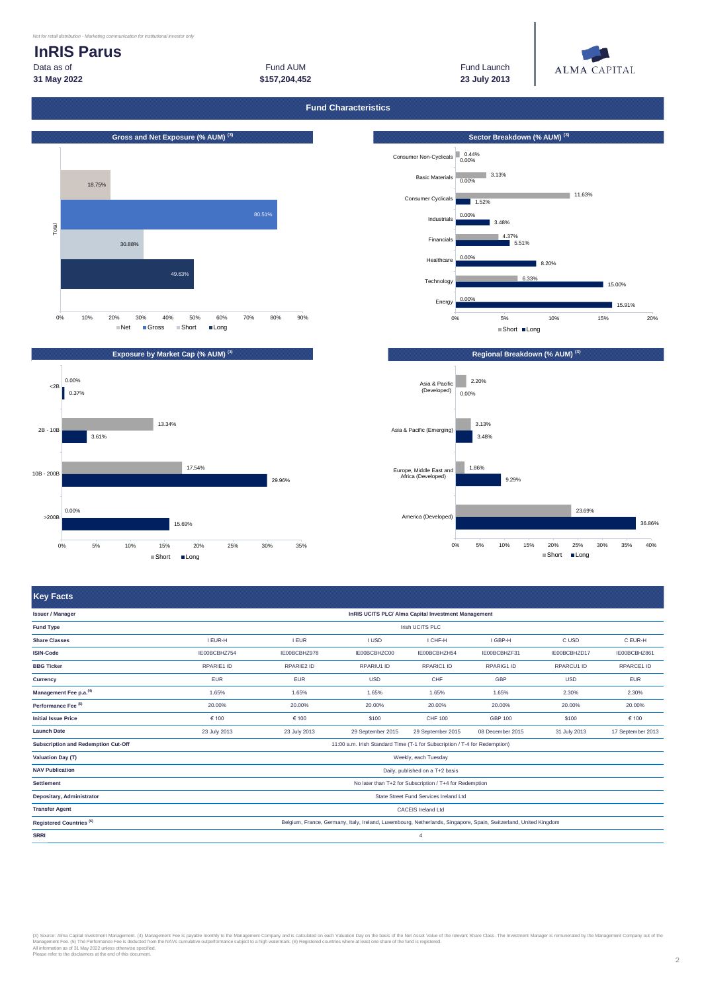# **InRIS Parus**

**31 May 2022 23 July 2013 \$157,204,452** Data as of Fund AUM Fund Launch



**Fund Characteristics**



15.91%  $15.00%$ 8.20% 5.51% 4.37% 3.48% 1.52% Consumer Cyclicals Basic Materials 0.00% 3.13% Consumer Non-Cyclicals 0.44% 0.00% 6.33% 0.00% 0.00% 11.63% 0% 5% 10% 15% 20% Energy Technology **Healthcare** Financials Industrials  $\blacksquare$ Short  $\blacksquare$ Long





|                                                  |                   | InRIS UCITS PLC/ Alma Capital Investment Management |                   |                                 |                                                                                                                                       |                                                                                                                  |  |  |  |  |
|--------------------------------------------------|-------------------|-----------------------------------------------------|-------------------|---------------------------------|---------------------------------------------------------------------------------------------------------------------------------------|------------------------------------------------------------------------------------------------------------------|--|--|--|--|
| Irish UCITS PLC                                  |                   |                                                     |                   |                                 |                                                                                                                                       |                                                                                                                  |  |  |  |  |
| I EUR-H                                          | <b>I EUR</b>      | <b>I USD</b>                                        | I CHF-H           | I GBP-H                         | C USD                                                                                                                                 | C EUR-H                                                                                                          |  |  |  |  |
| IE00BCBHZ754                                     | IE00BCBHZ978      | IE00BCBHZC00                                        | IE00BCBHZH54      | IE00BCBHZF31                    | IE00BCBHZD17                                                                                                                          | IE00BCBHZ861                                                                                                     |  |  |  |  |
| RPARIE1 ID                                       | <b>RPARIE2 ID</b> | RPARIU1 ID                                          | RPARIC1 ID        | RPARIG1 ID                      | RPARCU1 ID                                                                                                                            | <b>RPARCE1 ID</b>                                                                                                |  |  |  |  |
| <b>EUR</b>                                       | <b>EUR</b>        | <b>USD</b>                                          | CHF               | GBP                             | <b>USD</b>                                                                                                                            | <b>EUR</b>                                                                                                       |  |  |  |  |
| 1.65%                                            | 1.65%             | 1.65%                                               | 1.65%             | 1.65%                           | 2.30%                                                                                                                                 | 2.30%                                                                                                            |  |  |  |  |
| 20.00%                                           | 20.00%            | 20.00%                                              | 20.00%            | 20.00%                          | 20.00%                                                                                                                                | 20.00%                                                                                                           |  |  |  |  |
| € 100                                            | € 100             | \$100                                               | <b>CHF 100</b>    | GBP 100                         | \$100                                                                                                                                 | € 100                                                                                                            |  |  |  |  |
| 23 July 2013                                     | 23 July 2013      | 29 September 2015                                   | 29 September 2015 | 08 December 2015                | 31 July 2013                                                                                                                          | 17 September 2013                                                                                                |  |  |  |  |
|                                                  |                   |                                                     |                   |                                 |                                                                                                                                       |                                                                                                                  |  |  |  |  |
| <b>Valuation Day (T)</b><br>Weekly, each Tuesday |                   |                                                     |                   |                                 |                                                                                                                                       |                                                                                                                  |  |  |  |  |
|                                                  |                   |                                                     |                   |                                 |                                                                                                                                       |                                                                                                                  |  |  |  |  |
|                                                  |                   |                                                     |                   |                                 |                                                                                                                                       |                                                                                                                  |  |  |  |  |
| State Street Fund Services Ireland Ltd           |                   |                                                     |                   |                                 |                                                                                                                                       |                                                                                                                  |  |  |  |  |
| <b>CACEIS Ireland Ltd</b>                        |                   |                                                     |                   |                                 |                                                                                                                                       |                                                                                                                  |  |  |  |  |
|                                                  |                   |                                                     |                   |                                 |                                                                                                                                       |                                                                                                                  |  |  |  |  |
|                                                  |                   |                                                     | 4                 |                                 |                                                                                                                                       |                                                                                                                  |  |  |  |  |
|                                                  |                   |                                                     |                   | Daily, published on a T+2 basis | 11:00 a.m. Irish Standard Time (T-1 for Subscription / T-4 for Redemption)<br>No later than T+2 for Subscription / T+4 for Redemption | Belgium, France, Germany, Italy, Ireland, Luxembourg, Netherlands, Singapore, Spain, Switzerland, United Kingdom |  |  |  |  |

(3) Source: Alma Capital Investment Management. (4) Management Female in Management Company and is calculated on each Valuation Day on the basis of the Net Asset Value of the relevant Share Class. The Investment Manager is

2